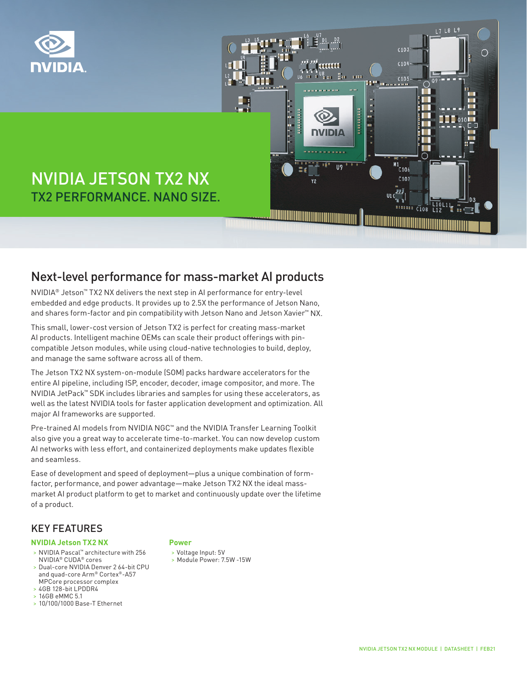



# NVIDIA JETSON TX2 NX TX2 PERFORMANCE. NANO SIZE.

### Next-level performance for mass-market AI products

NVIDIA® Jetson™ TX2 NX delivers the next step in AI performance for entry-level embedded and edge products. It provides up to 2.5X the performance of Jetson Nano, and shares form-factor and pin compatibility with Jetson Nano and Jetson Xavier™ NX.

This small, lower-cost version of Jetson TX2 is perfect for creating mass-market AI products. Intelligent machine OEMs can scale their product offerings with pincompatible Jetson modules, while using cloud-native technologies to build, deploy, and manage the same software across all of them.

The Jetson TX2 NX system-on-module (SOM) packs hardware accelerators for the entire AI pipeline, including ISP, encoder, decoder, image compositor, and more. The NVIDIA JetPack™ SDK includes libraries and samples for using these accelerators, as well as the latest NVIDIA tools for faster application development and optimization. All major AI frameworks are supported.

Pre-trained AI models from NVIDIA NGC<sup>™</sup> and the NVIDIA Transfer Learning Toolkit also give you a great way to accelerate time-to-market. You can now develop custom AI networks with less effort, and containerized deployments make updates flexible and seamless.

Ease of development and speed of deployment—plus a unique combination of formfactor, performance, and power advantage—make Jetson TX2 NX the ideal massmarket AI product platform to get to market and continuously update over the lifetime of a product.

### KEY FEATURES

#### **NVIDIA Jetson TX2 NX**

- > NVIDIA Pascal™ architecture with 256 NVIDIA® CUDA® cores
- > Dual-core NVIDIA Denver 2 64-bit CPU and quad-core Arm® Cortex®-A57 MPCore processor complex
- > 4GB 128-bit LPDDR4
- > 16GB eMMC 5.1
- > 10/100/1000 Base-T Ethernet

#### **Power**

- > Voltage Input: 5V
- > Module Power: 7.5W -15W